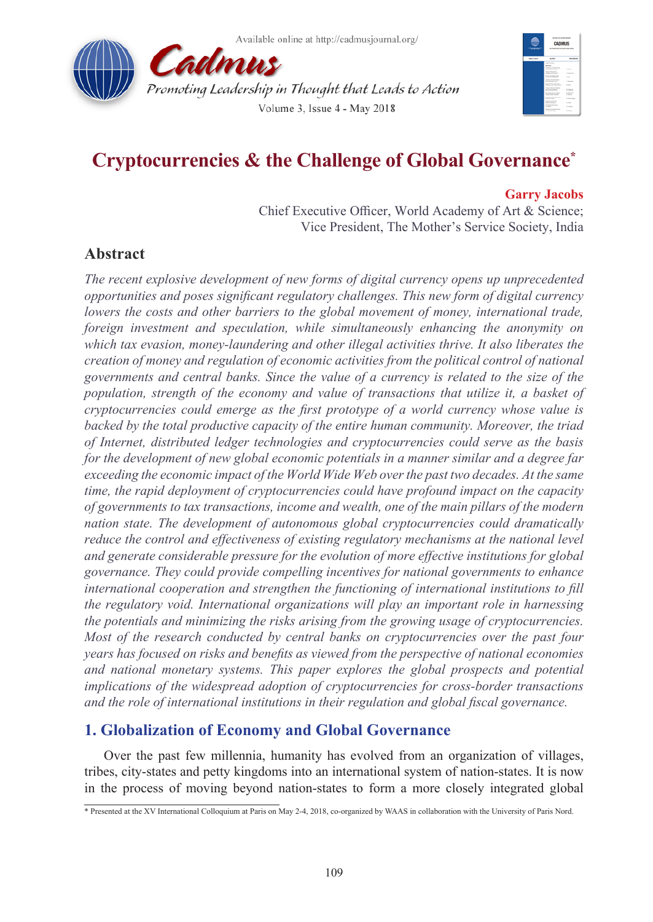



# **Cryptocurrencies & the Challenge of Global Governance\***

#### **Garry Jacobs**

Chief Executive Officer, World Academy of Art & Science; Vice President, The Mother's Service Society, India

# **Abstract**

*The recent explosive development of new forms of digital currency opens up unprecedented opportunities and poses significant regulatory challenges. This new form of digital currency lowers the costs and other barriers to the global movement of money, international trade, foreign investment and speculation, while simultaneously enhancing the anonymity on which tax evasion, money-laundering and other illegal activities thrive. It also liberates the creation of money and regulation of economic activities from the political control of national governments and central banks. Since the value of a currency is related to the size of the population, strength of the economy and value of transactions that utilize it, a basket of cryptocurrencies could emerge as the first prototype of a world currency whose value is backed by the total productive capacity of the entire human community. Moreover, the triad of Internet, distributed ledger technologies and cryptocurrencies could serve as the basis for the development of new global economic potentials in a manner similar and a degree far exceeding the economic impact of the World Wide Web over the past two decades. At the same time, the rapid deployment of cryptocurrencies could have profound impact on the capacity of governments to tax transactions, income and wealth, one of the main pillars of the modern nation state. The development of autonomous global cryptocurrencies could dramatically reduce the control and effectiveness of existing regulatory mechanisms at the national level and generate considerable pressure for the evolution of more effective institutions for global governance. They could provide compelling incentives for national governments to enhance international cooperation and strengthen the functioning of international institutions to fill the regulatory void. International organizations will play an important role in harnessing the potentials and minimizing the risks arising from the growing usage of cryptocurrencies. Most of the research conducted by central banks on cryptocurrencies over the past four years has focused on risks and benefits as viewed from the perspective of national economies and national monetary systems. This paper explores the global prospects and potential implications of the widespread adoption of cryptocurrencies for cross-border transactions and the role of international institutions in their regulation and global fiscal governance.*

#### **1. Globalization of Economy and Global Governance**

Over the past few millennia, humanity has evolved from an organization of villages, tribes, city-states and petty kingdoms into an international system of nation-states. It is now in the process of moving beyond nation-states to form a more closely integrated global

<sup>\*</sup> Presented at the XV International Colloquium at Paris on May 2-4, 2018, co-organized by WAAS in collaboration with the University of Paris Nord.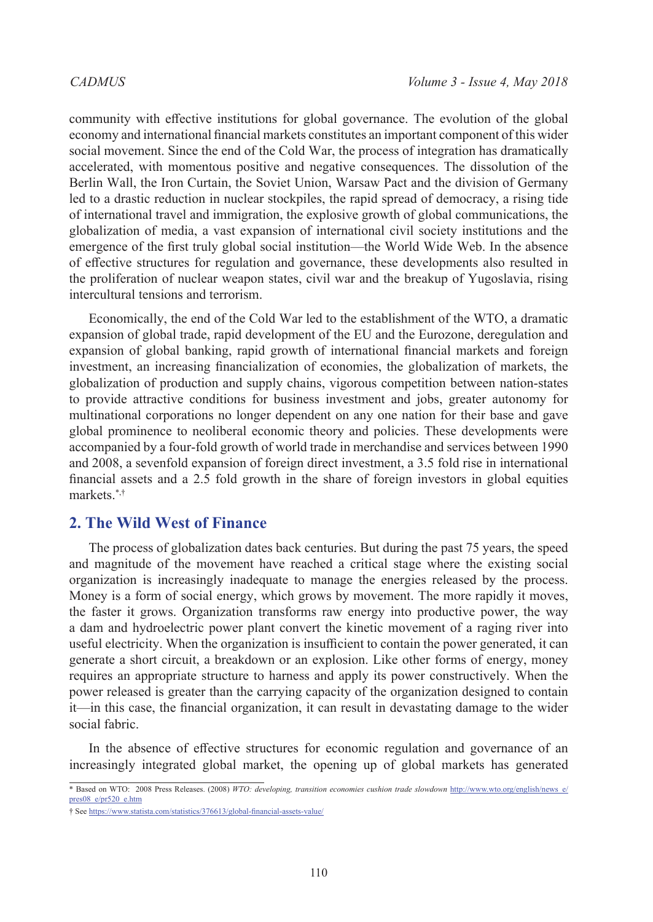community with effective institutions for global governance. The evolution of the global economy and international financial markets constitutes an important component of this wider social movement. Since the end of the Cold War, the process of integration has dramatically accelerated, with momentous positive and negative consequences. The dissolution of the Berlin Wall, the Iron Curtain, the Soviet Union, Warsaw Pact and the division of Germany led to a drastic reduction in nuclear stockpiles, the rapid spread of democracy, a rising tide of international travel and immigration, the explosive growth of global communications, the globalization of media, a vast expansion of international civil society institutions and the emergence of the first truly global social institution—the World Wide Web. In the absence of effective structures for regulation and governance, these developments also resulted in the proliferation of nuclear weapon states, civil war and the breakup of Yugoslavia, rising intercultural tensions and terrorism.

Economically, the end of the Cold War led to the establishment of the WTO, a dramatic expansion of global trade, rapid development of the EU and the Eurozone, deregulation and expansion of global banking, rapid growth of international financial markets and foreign investment, an increasing financialization of economies, the globalization of markets, the globalization of production and supply chains, vigorous competition between nation-states to provide attractive conditions for business investment and jobs, greater autonomy for multinational corporations no longer dependent on any one nation for their base and gave global prominence to neoliberal economic theory and policies. These developments were accompanied by a four-fold growth of world trade in merchandise and services between 1990 and 2008, a sevenfold expansion of foreign direct investment, a 3.5 fold rise in international financial assets and a 2.5 fold growth in the share of foreign investors in global equities markets.\*,†

### **2. The Wild West of Finance**

The process of globalization dates back centuries. But during the past 75 years, the speed and magnitude of the movement have reached a critical stage where the existing social organization is increasingly inadequate to manage the energies released by the process. Money is a form of social energy, which grows by movement. The more rapidly it moves, the faster it grows. Organization transforms raw energy into productive power, the way a dam and hydroelectric power plant convert the kinetic movement of a raging river into useful electricity. When the organization is insufficient to contain the power generated, it can generate a short circuit, a breakdown or an explosion. Like other forms of energy, money requires an appropriate structure to harness and apply its power constructively. When the power released is greater than the carrying capacity of the organization designed to contain it—in this case, the financial organization, it can result in devastating damage to the wider social fabric.

In the absence of effective structures for economic regulation and governance of an increasingly integrated global market, the opening up of global markets has generated

<sup>\*</sup> Based on WTO: 2008 Press Releases. (2008) *WTO: developing, transition economies cushion trade slowdown* [http://www.wto.org/english/news\\_e/](http://www.wto.org/english/news_e/pres08_e/pr520_e.htm) [pres08\\_e/pr520\\_e.htm](http://www.wto.org/english/news_e/pres08_e/pr520_e.htm)

<sup>†</sup> See <https://www.statista.com/statistics/376613/global-financial-assets-value/>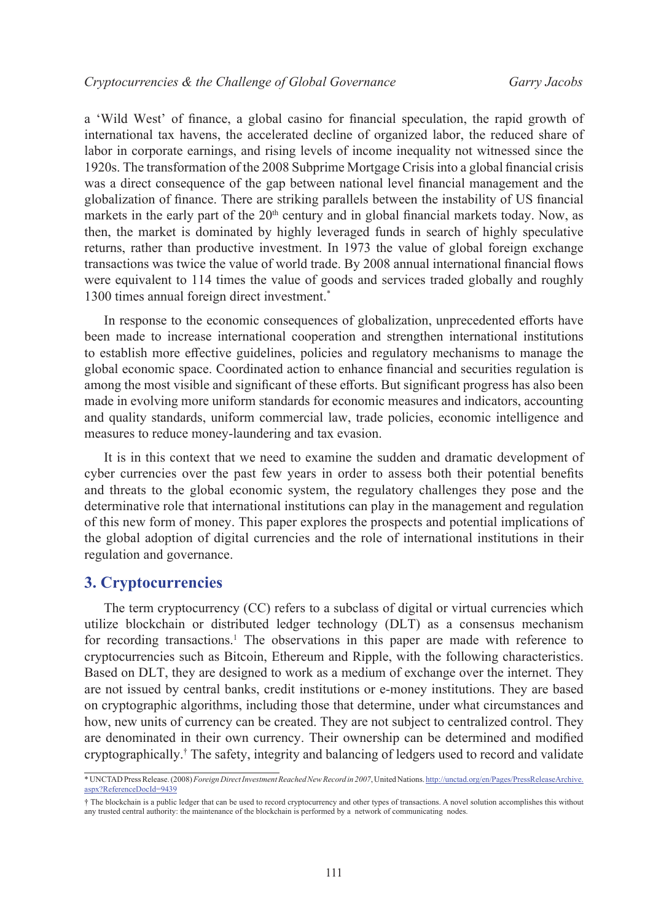a 'Wild West' of finance, a global casino for financial speculation, the rapid growth of international tax havens, the accelerated decline of organized labor, the reduced share of labor in corporate earnings, and rising levels of income inequality not witnessed since the 1920s. The transformation of the 2008 Subprime Mortgage Crisis into a global financial crisis was a direct consequence of the gap between national level financial management and the globalization of finance. There are striking parallels between the instability of US financial markets in the early part of the  $20<sup>th</sup>$  century and in global financial markets today. Now, as then, the market is dominated by highly leveraged funds in search of highly speculative returns, rather than productive investment. In 1973 the value of global foreign exchange transactions was twice the value of world trade. By 2008 annual international financial flows were equivalent to 114 times the value of goods and services traded globally and roughly 1300 times annual foreign direct investment.\*

In response to the economic consequences of globalization, unprecedented efforts have been made to increase international cooperation and strengthen international institutions to establish more effective guidelines, policies and regulatory mechanisms to manage the global economic space. Coordinated action to enhance financial and securities regulation is among the most visible and significant of these efforts. But significant progress has also been made in evolving more uniform standards for economic measures and indicators, accounting and quality standards, uniform commercial law, trade policies, economic intelligence and measures to reduce money-laundering and tax evasion.

It is in this context that we need to examine the sudden and dramatic development of cyber currencies over the past few years in order to assess both their potential benefits and threats to the global economic system, the regulatory challenges they pose and the determinative role that international institutions can play in the management and regulation of this new form of money. This paper explores the prospects and potential implications of the global adoption of digital currencies and the role of international institutions in their regulation and governance.

#### **3. Cryptocurrencies**

The term cryptocurrency (CC) refers to a subclass of digital or virtual currencies which utilize blockchain or distributed ledger technology (DLT) as a consensus mechanism for recording transactions.<sup>[1](#page-14-0)</sup> The observations in this paper are made with reference to cryptocurrencies such as Bitcoin, Ethereum and Ripple, with the following characteristics. Based on DLT, they are designed to work as a medium of exchange over the internet. They are not issued by central banks, credit institutions or e-money institutions. They are based on cryptographic algorithms, including those that determine, under what circumstances and how, new units of currency can be created. They are not subject to centralized control. They are denominated in their own currency. Their ownership can be determined and modified cryptographically.† The safety, integrity and balancing of ledgers used to record and validate

<sup>\*</sup> UNCTAD Press Release. (2008) *Foreign Direct Investment Reached New Record in 2007*, United Nations. [http://unctad.org/en/Pages/PressReleaseArchive.](http://unctad.org/en/Pages/PressReleaseArchive.aspx?ReferenceDocId=9439) [aspx?ReferenceDocId=9439](http://unctad.org/en/Pages/PressReleaseArchive.aspx?ReferenceDocId=9439)

<sup>†</sup> The blockchain is a public ledger that can be used to record cryptocurrency and other types of transactions. A novel solution accomplishes this without any trusted central authority: the maintenance of the blockchain is performed by a network of communicating nodes.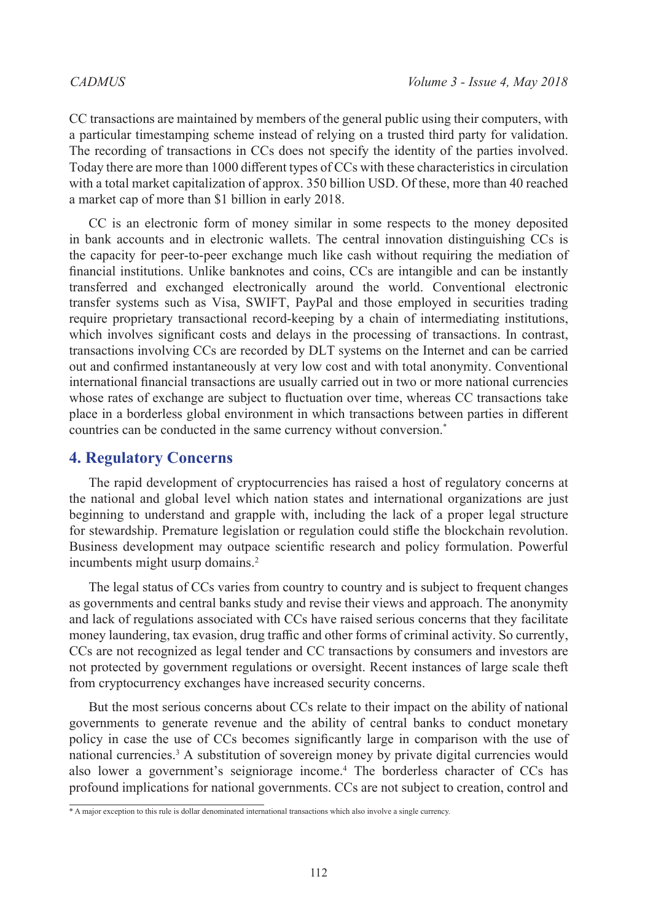CC transactions are maintained by members of the general public using their computers, with a particular timestamping scheme instead of relying on a trusted third party for validation. The recording of transactions in CCs does not specify the identity of the parties involved. Today there are more than 1000 different types of CCs with these characteristics in circulation with a total market capitalization of approx. 350 billion USD. Of these, more than 40 reached a market cap of more than \$1 billion in early 2018.

CC is an electronic form of money similar in some respects to the money deposited in bank accounts and in electronic wallets. The central innovation distinguishing CCs is the capacity for peer-to-peer exchange much like cash without requiring the mediation of financial institutions. Unlike banknotes and coins, CCs are intangible and can be instantly transferred and exchanged electronically around the world. Conventional electronic transfer systems such as Visa, SWIFT, PayPal and those employed in securities trading require proprietary transactional record-keeping by a chain of intermediating institutions, which involves significant costs and delays in the processing of transactions. In contrast, transactions involving CCs are recorded by DLT systems on the Internet and can be carried out and confirmed instantaneously at very low cost and with total anonymity. Conventional international financial transactions are usually carried out in two or more national currencies whose rates of exchange are subject to fluctuation over time, whereas CC transactions take place in a borderless global environment in which transactions between parties in different countries can be conducted in the same currency without conversion.\*

#### **4. Regulatory Concerns**

The rapid development of cryptocurrencies has raised a host of regulatory concerns at the national and global level which nation states and international organizations are just beginning to understand and grapple with, including the lack of a proper legal structure for stewardship. Premature legislation or regulation could stifle the blockchain revolution. Business development may outpace scientific research and policy formulation. Powerful incumbents might usurp domains.<sup>2</sup>

The legal status of CCs varies from country to country and is subject to frequent changes as governments and central banks study and revise their views and approach. The anonymity and lack of regulations associated with CCs have raised serious concerns that they facilitate money laundering, tax evasion, drug traffic and other forms of criminal activity. So currently, CCs are not recognized as legal tender and CC transactions by consumers and investors are not protected by government regulations or oversight. Recent instances of large scale theft from cryptocurrency exchanges have increased security concerns.

But the most serious concerns about CCs relate to their impact on the ability of national governments to generate revenue and the ability of central banks to conduct monetary policy in case the use of CCs becomes significantly large in comparison with the use of national currencies.[3](#page-14-2) A substitution of sovereign money by private digital currencies would also lower a government's seigniorage income[.4](#page-14-3) The borderless character of CCs has profound implications for national governments. CCs are not subject to creation, control and

<sup>\*</sup> A major exception to this rule is dollar denominated international transactions which also involve a single currency.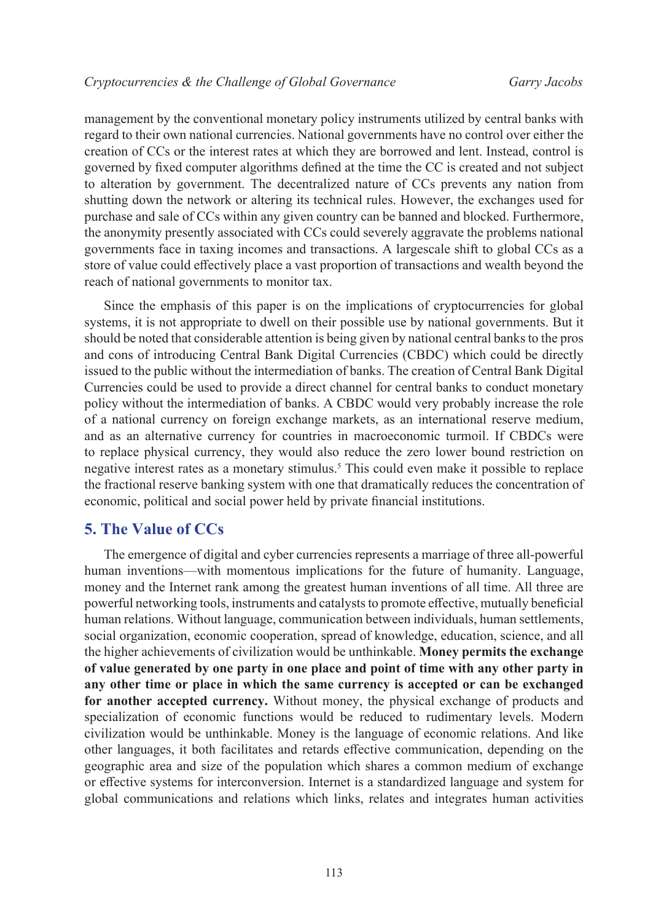management by the conventional monetary policy instruments utilized by central banks with regard to their own national currencies. National governments have no control over either the creation of CCs or the interest rates at which they are borrowed and lent. Instead, control is governed by fixed computer algorithms defined at the time the CC is created and not subject to alteration by government. The decentralized nature of CCs prevents any nation from shutting down the network or altering its technical rules. However, the exchanges used for purchase and sale of CCs within any given country can be banned and blocked. Furthermore, the anonymity presently associated with CCs could severely aggravate the problems national governments face in taxing incomes and transactions. A largescale shift to global CCs as a store of value could effectively place a vast proportion of transactions and wealth beyond the reach of national governments to monitor tax.

Since the emphasis of this paper is on the implications of cryptocurrencies for global systems, it is not appropriate to dwell on their possible use by national governments. But it should be noted that considerable attention is being given by national central banks to the pros and cons of introducing Central Bank Digital Currencies (CBDC) which could be directly issued to the public without the intermediation of banks. The creation of Central Bank Digital Currencies could be used to provide a direct channel for central banks to conduct monetary policy without the intermediation of banks. A CBDC would very probably increase the role of a national currency on foreign exchange markets, as an international reserve medium, and as an alternative currency for countries in macroeconomic turmoil. If CBDCs were to replace physical currency, they would also reduce the zero lower bound restriction on negative interest rates as a monetary stimulus.<sup>5</sup> This could even make it possible to replace the fractional reserve banking system with one that dramatically reduces the concentration of economic, political and social power held by private financial institutions.

#### **5. The Value of CCs**

The emergence of digital and cyber currencies represents a marriage of three all-powerful human inventions—with momentous implications for the future of humanity. Language, money and the Internet rank among the greatest human inventions of all time. All three are powerful networking tools, instruments and catalysts to promote effective, mutually beneficial human relations. Without language, communication between individuals, human settlements, social organization, economic cooperation, spread of knowledge, education, science, and all the higher achievements of civilization would be unthinkable. **Money permits the exchange of value generated by one party in one place and point of time with any other party in any other time or place in which the same currency is accepted or can be exchanged for another accepted currency.** Without money, the physical exchange of products and specialization of economic functions would be reduced to rudimentary levels. Modern civilization would be unthinkable. Money is the language of economic relations. And like other languages, it both facilitates and retards effective communication, depending on the geographic area and size of the population which shares a common medium of exchange or effective systems for interconversion. Internet is a standardized language and system for global communications and relations which links, relates and integrates human activities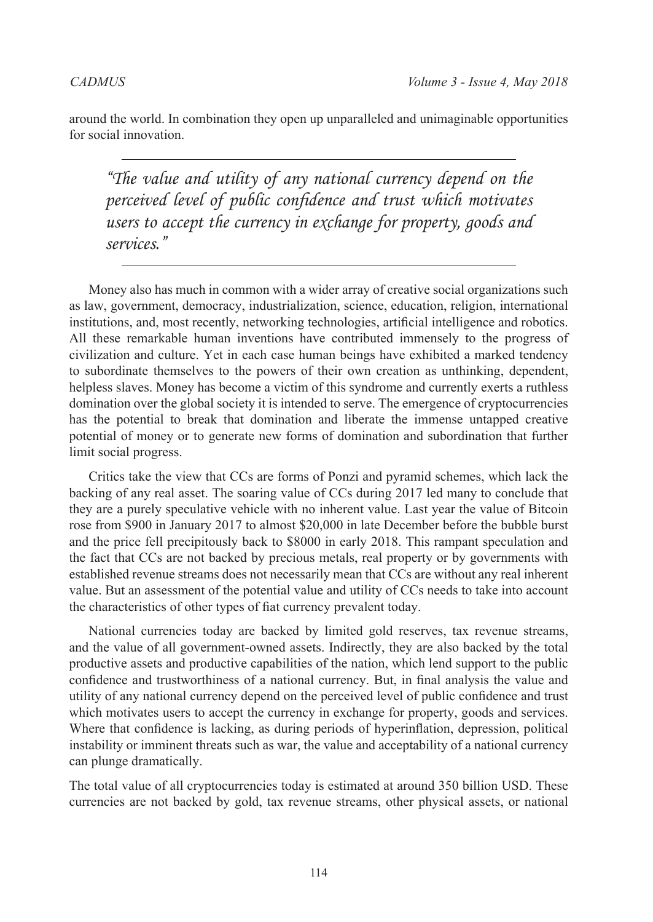around the world. In combination they open up unparalleled and unimaginable opportunities for social innovation.

*"The value and utility of any national currency depend on the perceived level of public confidence and trust which motivates users to accept the currency in exchange for property, goods and services."*

Money also has much in common with a wider array of creative social organizations such as law, government, democracy, industrialization, science, education, religion, international institutions, and, most recently, networking technologies, artificial intelligence and robotics. All these remarkable human inventions have contributed immensely to the progress of civilization and culture. Yet in each case human beings have exhibited a marked tendency to subordinate themselves to the powers of their own creation as unthinking, dependent, helpless slaves. Money has become a victim of this syndrome and currently exerts a ruthless domination over the global society it is intended to serve. The emergence of cryptocurrencies has the potential to break that domination and liberate the immense untapped creative potential of money or to generate new forms of domination and subordination that further limit social progress.

Critics take the view that CCs are forms of Ponzi and pyramid schemes, which lack the backing of any real asset. The soaring value of CCs during 2017 led many to conclude that they are a purely speculative vehicle with no inherent value. Last year the value of Bitcoin rose from \$900 in January 2017 to almost \$20,000 in late December before the bubble burst and the price fell precipitously back to \$8000 in early 2018. This rampant speculation and the fact that CCs are not backed by precious metals, real property or by governments with established revenue streams does not necessarily mean that CCs are without any real inherent value. But an assessment of the potential value and utility of CCs needs to take into account the characteristics of other types of fiat currency prevalent today.

National currencies today are backed by limited gold reserves, tax revenue streams, and the value of all government-owned assets. Indirectly, they are also backed by the total productive assets and productive capabilities of the nation, which lend support to the public confidence and trustworthiness of a national currency. But, in final analysis the value and utility of any national currency depend on the perceived level of public confidence and trust which motivates users to accept the currency in exchange for property, goods and services. Where that confidence is lacking, as during periods of hyperinflation, depression, political instability or imminent threats such as war, the value and acceptability of a national currency can plunge dramatically.

The total value of all cryptocurrencies today is estimated at around 350 billion USD. These currencies are not backed by gold, tax revenue streams, other physical assets, or national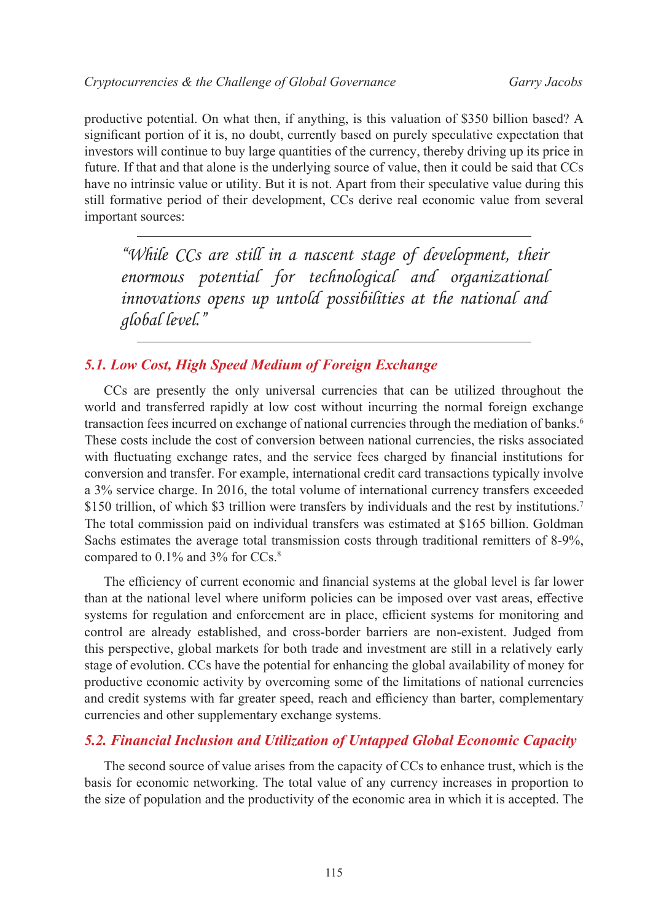productive potential. On what then, if anything, is this valuation of \$350 billion based? A significant portion of it is, no doubt, currently based on purely speculative expectation that investors will continue to buy large quantities of the currency, thereby driving up its price in future. If that and that alone is the underlying source of value, then it could be said that CCs have no intrinsic value or utility. But it is not. Apart from their speculative value during this still formative period of their development, CCs derive real economic value from several important sources:

*"While CCs are still in a nascent stage of development, their enormous potential for technological and organizational innovations opens up untold possibilities at the national and global level."*

# *5.1. Low Cost, High Speed Medium of Foreign Exchange*

CCs are presently the only universal currencies that can be utilized throughout the world and transferred rapidly at low cost without incurring the normal foreign exchange transaction fees incurred on exchange of national currencies through the mediation of banks.<sup>[6](#page-14-5)</sup> These costs include the cost of conversion between national currencies, the risks associated with fluctuating exchange rates, and the service fees charged by financial institutions for conversion and transfer. For example, international credit card transactions typically involve a 3% service charge. In 2016, the total volume of international currency transfers exceeded \$150 trillion, of which \$3 trillion were transfers by individuals and the rest by institutions.<sup>[7](#page-14-6)</sup> The total commission paid on individual transfers was estimated at \$165 billion. Goldman Sachs estimates the average total transmission costs through traditional remitters of 8-9%, compared to 0.1% and 3% for CCs.[8](#page-14-7)

The efficiency of current economic and financial systems at the global level is far lower than at the national level where uniform policies can be imposed over vast areas, effective systems for regulation and enforcement are in place, efficient systems for monitoring and control are already established, and cross-border barriers are non-existent. Judged from this perspective, global markets for both trade and investment are still in a relatively early stage of evolution. CCs have the potential for enhancing the global availability of money for productive economic activity by overcoming some of the limitations of national currencies and credit systems with far greater speed, reach and efficiency than barter, complementary currencies and other supplementary exchange systems.

#### *5.2. Financial Inclusion and Utilization of Untapped Global Economic Capacity*

The second source of value arises from the capacity of CCs to enhance trust, which is the basis for economic networking. The total value of any currency increases in proportion to the size of population and the productivity of the economic area in which it is accepted. The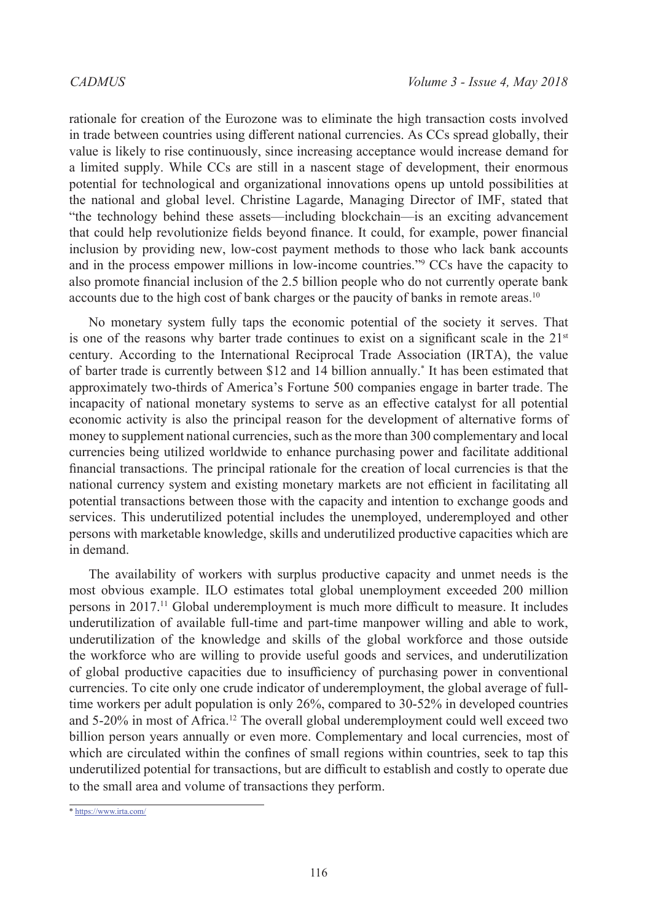rationale for creation of the Eurozone was to eliminate the high transaction costs involved in trade between countries using different national currencies. As CCs spread globally, their value is likely to rise continuously, since increasing acceptance would increase demand for a limited supply. While CCs are still in a nascent stage of development, their enormous potential for technological and organizational innovations opens up untold possibilities at the national and global level. Christine Lagarde, Managing Director of IMF, stated that "the technology behind these assets—including blockchain—is an exciting advancement that could help revolutionize fields beyond finance. It could, for example, power financial inclusion by providing new, low-cost payment methods to those who lack bank accounts and in the process empower millions in low-income countries."<sup>[9](#page-14-8)</sup> CCs have the capacity to also promote financial inclusion of the 2.5 billion people who do not currently operate bank accounts due to the high cost of bank charges or the paucity of banks in remote areas.<sup>[10](#page-14-9)</sup>

No monetary system fully taps the economic potential of the society it serves. That is one of the reasons why barter trade continues to exist on a significant scale in the  $21<sup>st</sup>$ century. According to the International Reciprocal Trade Association (IRTA), the value of barter trade is currently between \$12 and 14 billion annually.\* It has been estimated that approximately two-thirds of America's Fortune 500 companies engage in barter trade. The incapacity of national monetary systems to serve as an effective catalyst for all potential economic activity is also the principal reason for the development of alternative forms of money to supplement national currencies, such as the more than 300 complementary and local currencies being utilized worldwide to enhance purchasing power and facilitate additional financial transactions. The principal rationale for the creation of local currencies is that the national currency system and existing monetary markets are not efficient in facilitating all potential transactions between those with the capacity and intention to exchange goods and services. This underutilized potential includes the unemployed, underemployed and other persons with marketable knowledge, skills and underutilized productive capacities which are in demand.

The availability of workers with surplus productive capacity and unmet needs is the most obvious example. ILO estimates total global unemployment exceeded 200 million persons in 2017.[11](#page-14-10) Global underemployment is much more difficult to measure. It includes underutilization of available full-time and part-time manpower willing and able to work, underutilization of the knowledge and skills of the global workforce and those outside the workforce who are willing to provide useful goods and services, and underutilization of global productive capacities due to insufficiency of purchasing power in conventional currencies. To cite only one crude indicator of underemployment, the global average of fulltime workers per adult population is only 26%, compared to 30-52% in developed countries and 5-20% in most of Africa.<sup>12</sup> The overall global underemployment could well exceed two billion person years annually or even more. Complementary and local currencies, most of which are circulated within the confines of small regions within countries, seek to tap this underutilized potential for transactions, but are difficult to establish and costly to operate due to the small area and volume of transactions they perform.

<sup>\*</sup> <https://www.irta.com/>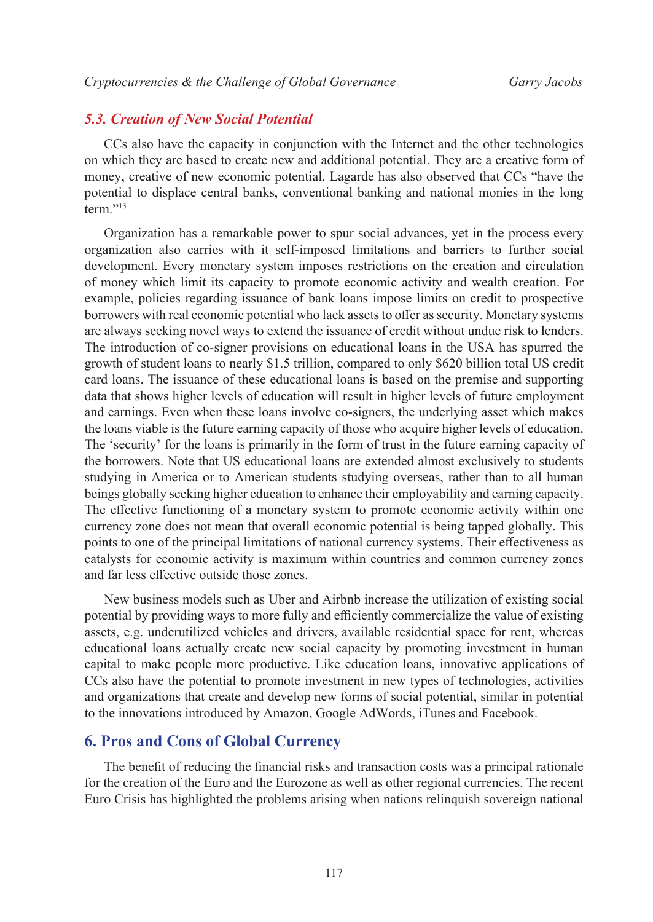#### *5.3. Creation of New Social Potential*

CCs also have the capacity in conjunction with the Internet and the other technologies on which they are based to create new and additional potential. They are a creative form of money, creative of new economic potential. Lagarde has also observed that CCs "have the potential to displace central banks, conventional banking and national monies in the long term."<sup>[13](#page-14-12)</sup>

Organization has a remarkable power to spur social advances, yet in the process every organization also carries with it self-imposed limitations and barriers to further social development. Every monetary system imposes restrictions on the creation and circulation of money which limit its capacity to promote economic activity and wealth creation. For example, policies regarding issuance of bank loans impose limits on credit to prospective borrowers with real economic potential who lack assets to offer as security. Monetary systems are always seeking novel ways to extend the issuance of credit without undue risk to lenders. The introduction of co-signer provisions on educational loans in the USA has spurred the growth of student loans to nearly \$1.5 trillion, compared to only \$620 billion total US credit card loans. The issuance of these educational loans is based on the premise and supporting data that shows higher levels of education will result in higher levels of future employment and earnings. Even when these loans involve co-signers, the underlying asset which makes the loans viable is the future earning capacity of those who acquire higher levels of education. The 'security' for the loans is primarily in the form of trust in the future earning capacity of the borrowers. Note that US educational loans are extended almost exclusively to students studying in America or to American students studying overseas, rather than to all human beings globally seeking higher education to enhance their employability and earning capacity. The effective functioning of a monetary system to promote economic activity within one currency zone does not mean that overall economic potential is being tapped globally. This points to one of the principal limitations of national currency systems. Their effectiveness as catalysts for economic activity is maximum within countries and common currency zones and far less effective outside those zones.

New business models such as Uber and Airbnb increase the utilization of existing social potential by providing ways to more fully and efficiently commercialize the value of existing assets, e.g. underutilized vehicles and drivers, available residential space for rent, whereas educational loans actually create new social capacity by promoting investment in human capital to make people more productive. Like education loans, innovative applications of CCs also have the potential to promote investment in new types of technologies, activities and organizations that create and develop new forms of social potential, similar in potential to the innovations introduced by Amazon, Google AdWords, iTunes and Facebook.

#### **6. Pros and Cons of Global Currency**

The benefit of reducing the financial risks and transaction costs was a principal rationale for the creation of the Euro and the Eurozone as well as other regional currencies. The recent Euro Crisis has highlighted the problems arising when nations relinquish sovereign national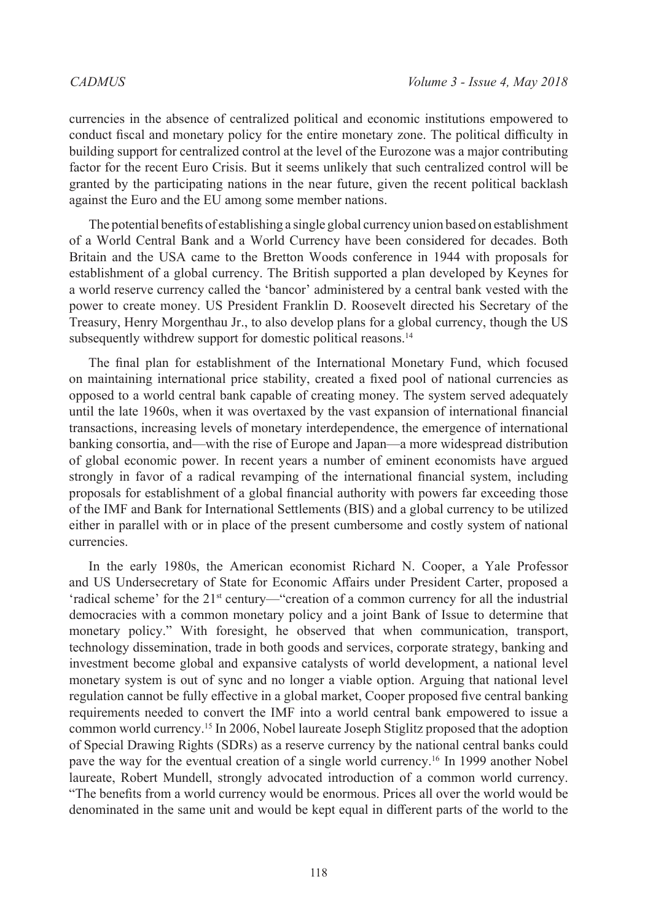currencies in the absence of centralized political and economic institutions empowered to conduct fiscal and monetary policy for the entire monetary zone. The political difficulty in building support for centralized control at the level of the Eurozone was a major contributing factor for the recent Euro Crisis. But it seems unlikely that such centralized control will be granted by the participating nations in the near future, given the recent political backlash against the Euro and the EU among some member nations.

The potential benefits of establishing a single global currency union based on establishment of a World Central Bank and a World Currency have been considered for decades. Both Britain and the USA came to the Bretton Woods conference in 1944 with proposals for establishment of a global currency. The British supported a plan developed by Keynes for a world reserve currency called the 'bancor' administered by a [central bank](http://en.wikipedia.org/wiki/Central_bank) vested with the power to create money. US President Franklin D. Roosevelt directed his Secretary of the Treasury, Henry Morgenthau Jr., to also develop plans for a global currency, though the US subsequently withdrew support for domestic political reasons.<sup>14</sup>

The final plan for establishment of the International Monetary Fund, which focused on maintaining international price stability, created a fixed pool of national currencies as opposed to a world central bank capable of creating money. The system served adequately until the late 1960s, when it was overtaxed by the vast expansion of international financial transactions, increasing levels of monetary interdependence, the emergence of international banking consortia, and—with the rise of Europe and Japan—a more widespread distribution of global economic power. In recent years a number of eminent economists have argued strongly in favor of a radical revamping of the international financial system, including proposals for establishment of a global financial authority with powers far exceeding those of the IMF and Bank for International Settlements (BIS) and a global currency to be utilized either in parallel with or in place of the present cumbersome and costly system of national currencies.

In the early 1980s, the American economist Richard N. Cooper, a Yale Professor and US Undersecretary of State for Economic Affairs under President Carter, proposed a 'radical scheme' for the 21st century—"creation of a common currency for all the industrial democracies with a common monetary policy and a joint Bank of Issue to determine that monetary policy." With foresight, he observed that when communication, transport, technology dissemination, trade in both goods and services, corporate strategy, banking and investment become global and expansive catalysts of world development, a national level monetary system is out of sync and no longer a viable option. Arguing that national level regulation cannot be fully effective in a global market, Cooper proposed five central banking requirements needed to convert the IMF into a world central bank empowered to issue a common world currency.[15](#page-14-14) In 2006, Nobel laureate Joseph Stiglitz proposed that the adoption of Special Drawing Rights (SDRs) as a reserve currency by the national central banks could pave the way for the eventual creation of a single world currency.[16](#page-14-15) In 1999 another Nobel laureate, Robert Mundell, strongly advocated introduction of a common world currency. "The benefits from a world currency would be enormous. Prices all over the world would be denominated in the same unit and would be kept equal in different parts of the world to the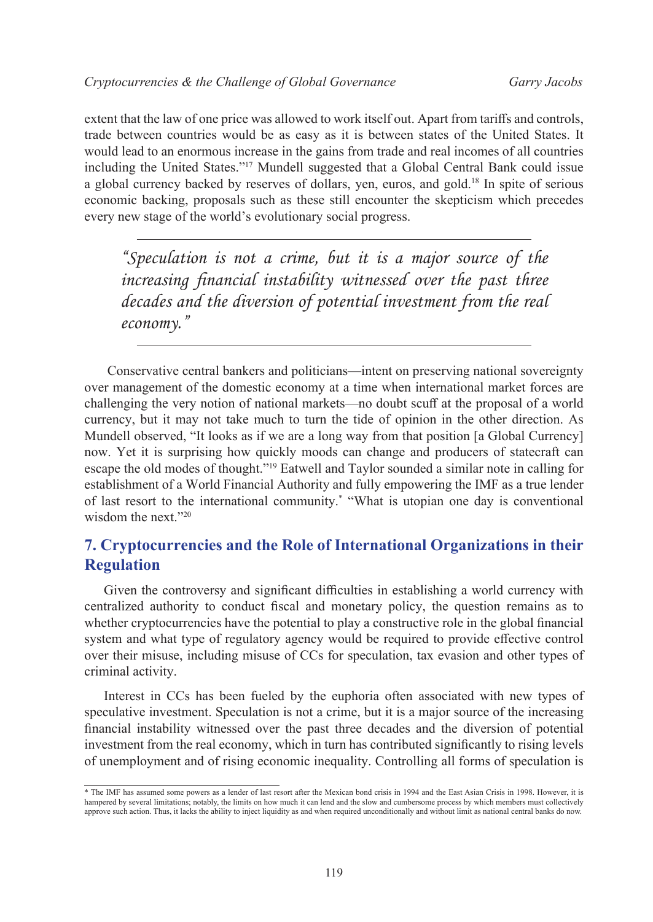extent that the law of one price was allowed to work itself out. Apart from tariffs and controls, trade between countries would be as easy as it is between states of the United States. It would lead to an enormous increase in the gains from trade and real incomes of all countries including the United States."[17](#page-14-16) Mundell suggested that a Global Central Bank could issue a global currency backed by reserves of dollars, yen, euros, and gold.[18](#page-14-17) In spite of serious economic backing, proposals such as these still encounter the skepticism which precedes every new stage of the world's evolutionary social progress.

*"Speculation is not a crime, but it is a major source of the increasing financial instability witnessed over the past three decades and the diversion of potential investment from the real economy."*

 Conservative central bankers and politicians—intent on preserving national sovereignty over management of the domestic economy at a time when international market forces are challenging the very notion of national markets—no doubt scuff at the proposal of a world currency, but it may not take much to turn the tide of opinion in the other direction. As Mundell observed, "It looks as if we are a long way from that position [a Global Currency] now. Yet it is surprising how quickly moods can change and producers of statecraft can escape the old modes of thought."[19](#page-14-18) Eatwell and Taylor sounded a similar note in calling for establishment of a World Financial Authority and fully empowering the IMF as a true lender of last resort to the international community.\* "What is utopian one day is conventional wisdom the next.["20](#page-14-19)

# **7. Cryptocurrencies and the Role of International Organizations in their Regulation**

Given the controversy and significant difficulties in establishing a world currency with centralized authority to conduct fiscal and monetary policy, the question remains as to whether cryptocurrencies have the potential to play a constructive role in the global financial system and what type of regulatory agency would be required to provide effective control over their misuse, including misuse of CCs for speculation, tax evasion and other types of criminal activity.

Interest in CCs has been fueled by the euphoria often associated with new types of speculative investment. Speculation is not a crime, but it is a major source of the increasing financial instability witnessed over the past three decades and the diversion of potential investment from the real economy, which in turn has contributed significantly to rising levels of unemployment and of rising economic inequality. Controlling all forms of speculation is

<sup>\*</sup> The IMF has assumed some powers as a lender of last resort after the Mexican bond crisis in 1994 and the East Asian Crisis in 1998. However, it is hampered by several limitations; notably, the limits on how much it can lend and the slow and cumbersome process by which members must collectively approve such action. Thus, it lacks the ability to inject liquidity as and when required unconditionally and without limit as national central banks do now.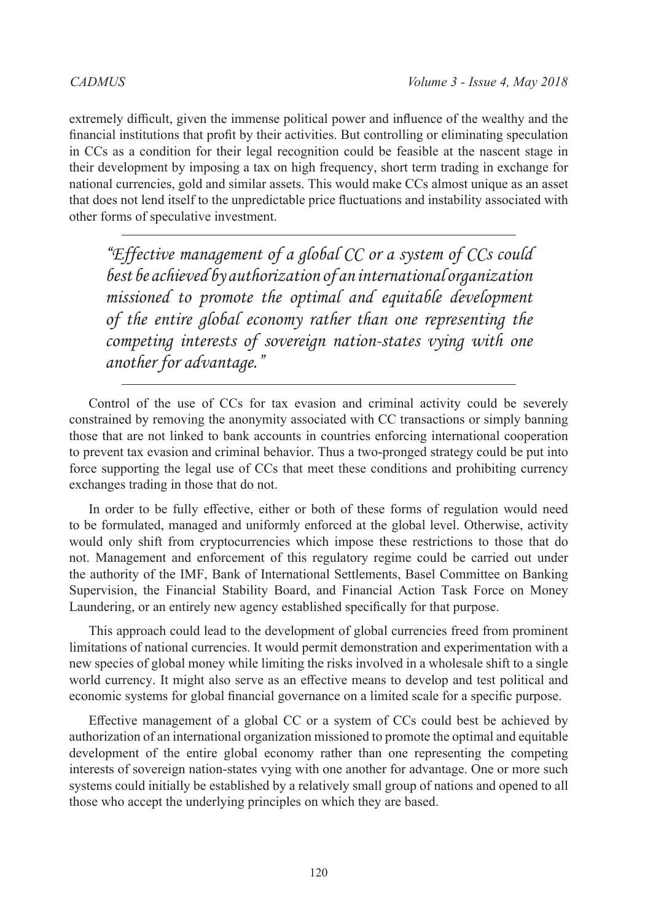extremely difficult, given the immense political power and influence of the wealthy and the financial institutions that profit by their activities. But controlling or eliminating speculation in CCs as a condition for their legal recognition could be feasible at the nascent stage in their development by imposing a tax on high frequency, short term trading in exchange for national currencies, gold and similar assets. This would make CCs almost unique as an asset that does not lend itself to the unpredictable price fluctuations and instability associated with other forms of speculative investment.

*"Effective management of a global CC or a system of CCs could best be achieved by authorization of an international organization missioned to promote the optimal and equitable development of the entire global economy rather than one representing the competing interests of sovereign nation-states vying with one another for advantage."*

Control of the use of CCs for tax evasion and criminal activity could be severely constrained by removing the anonymity associated with CC transactions or simply banning those that are not linked to bank accounts in countries enforcing international cooperation to prevent tax evasion and criminal behavior. Thus a two-pronged strategy could be put into force supporting the legal use of CCs that meet these conditions and prohibiting currency exchanges trading in those that do not.

In order to be fully effective, either or both of these forms of regulation would need to be formulated, managed and uniformly enforced at the global level. Otherwise, activity would only shift from cryptocurrencies which impose these restrictions to those that do not. Management and enforcement of this regulatory regime could be carried out under the authority of the IMF, Bank of International Settlements, Basel Committee on Banking Supervision, the Financial Stability Board, and Financial Action Task Force on Money Laundering, or an entirely new agency established specifically for that purpose.

This approach could lead to the development of global currencies freed from prominent limitations of national currencies. It would permit demonstration and experimentation with a new species of global money while limiting the risks involved in a wholesale shift to a single world currency. It might also serve as an effective means to develop and test political and economic systems for global financial governance on a limited scale for a specific purpose.

Effective management of a global CC or a system of CCs could best be achieved by authorization of an international organization missioned to promote the optimal and equitable development of the entire global economy rather than one representing the competing interests of sovereign nation-states vying with one another for advantage. One or more such systems could initially be established by a relatively small group of nations and opened to all those who accept the underlying principles on which they are based.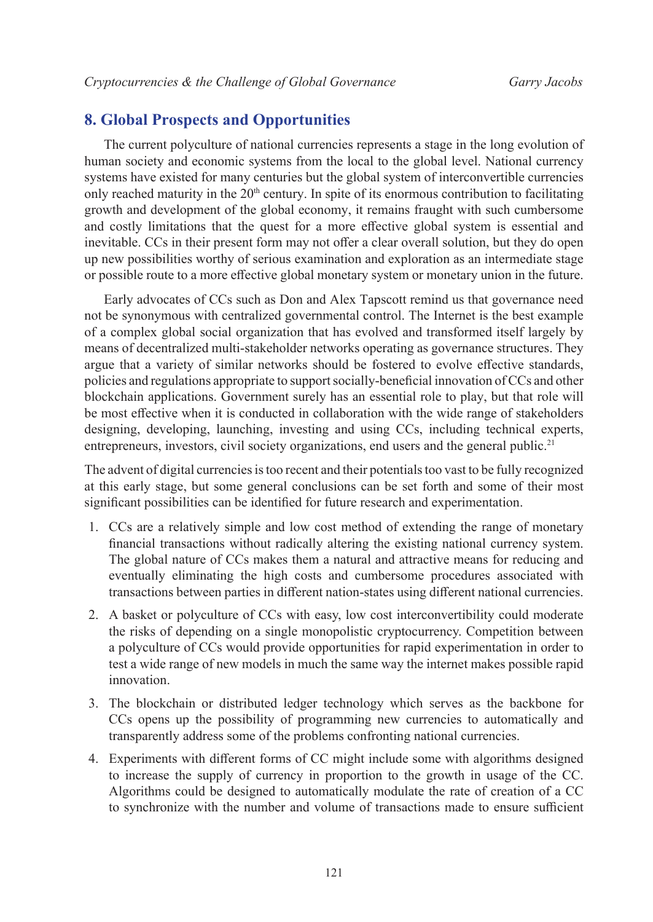### **8. Global Prospects and Opportunities**

The current polyculture of national currencies represents a stage in the long evolution of human society and economic systems from the local to the global level. National currency systems have existed for many centuries but the global system of interconvertible currencies only reached maturity in the  $20<sup>th</sup>$  century. In spite of its enormous contribution to facilitating growth and development of the global economy, it remains fraught with such cumbersome and costly limitations that the quest for a more effective global system is essential and inevitable. CCs in their present form may not offer a clear overall solution, but they do open up new possibilities worthy of serious examination and exploration as an intermediate stage or possible route to a more effective global monetary system or monetary union in the future.

Early advocates of CCs such as Don and Alex Tapscott remind us that governance need not be synonymous with centralized governmental control. The Internet is the best example of a complex global social organization that has evolved and transformed itself largely by means of decentralized multi-stakeholder networks operating as governance structures. They argue that a variety of similar networks should be fostered to evolve effective standards, policies and regulations appropriate to support socially-beneficial innovation of CCs and other blockchain applications. Government surely has an essential role to play, but that role will be most effective when it is conducted in collaboration with the wide range of stakeholders designing, developing, launching, investing and using CCs, including technical experts, entrepreneurs, investors, civil society organizations, end users and the general public.<sup>[21](#page-14-20)</sup>

The advent of digital currencies is too recent and their potentials too vast to be fully recognized at this early stage, but some general conclusions can be set forth and some of their most significant possibilities can be identified for future research and experimentation.

- 1. CCs are a relatively simple and low cost method of extending the range of monetary financial transactions without radically altering the existing national currency system. The global nature of CCs makes them a natural and attractive means for reducing and eventually eliminating the high costs and cumbersome procedures associated with transactions between parties in different nation-states using different national currencies.
- 2. A basket or polyculture of CCs with easy, low cost interconvertibility could moderate the risks of depending on a single monopolistic cryptocurrency. Competition between a polyculture of CCs would provide opportunities for rapid experimentation in order to test a wide range of new models in much the same way the internet makes possible rapid innovation.
- 3. The blockchain or distributed ledger technology which serves as the backbone for CCs opens up the possibility of programming new currencies to automatically and transparently address some of the problems confronting national currencies.
- 4. Experiments with different forms of CC might include some with algorithms designed to increase the supply of currency in proportion to the growth in usage of the CC. Algorithms could be designed to automatically modulate the rate of creation of a CC to synchronize with the number and volume of transactions made to ensure sufficient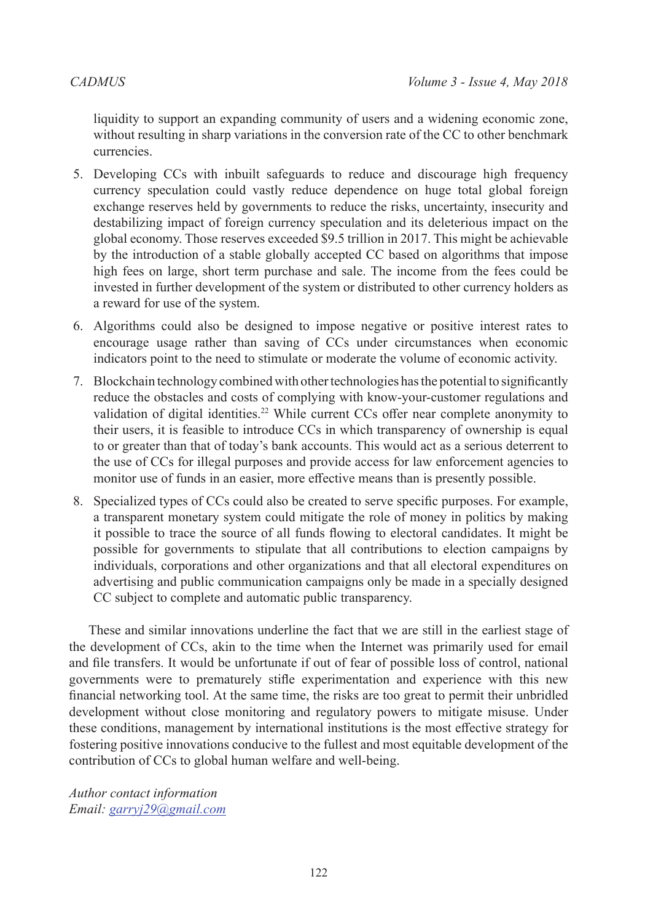liquidity to support an expanding community of users and a widening economic zone, without resulting in sharp variations in the conversion rate of the CC to other benchmark currencies.

- 5. Developing CCs with inbuilt safeguards to reduce and discourage high frequency currency speculation could vastly reduce dependence on huge total global foreign exchange reserves held by governments to reduce the risks, uncertainty, insecurity and destabilizing impact of foreign currency speculation and its deleterious impact on the global economy. Those reserves exceeded \$9.5 trillion in 2017. This might be achievable by the introduction of a stable globally accepted CC based on algorithms that impose high fees on large, short term purchase and sale. The income from the fees could be invested in further development of the system or distributed to other currency holders as a reward for use of the system.
- 6. Algorithms could also be designed to impose negative or positive interest rates to encourage usage rather than saving of CCs under circumstances when economic indicators point to the need to stimulate or moderate the volume of economic activity.
- 7. Blockchain technology combined with other technologies has the potential to significantly reduce the obstacles and costs of complying with know-your-customer regulations and validation of digital identities.[22](#page-14-21) While current CCs offer near complete anonymity to their users, it is feasible to introduce CCs in which transparency of ownership is equal to or greater than that of today's bank accounts. This would act as a serious deterrent to the use of CCs for illegal purposes and provide access for law enforcement agencies to monitor use of funds in an easier, more effective means than is presently possible.
- 8. Specialized types of CCs could also be created to serve specific purposes. For example, a transparent monetary system could mitigate the role of money in politics by making it possible to trace the source of all funds flowing to electoral candidates. It might be possible for governments to stipulate that all contributions to election campaigns by individuals, corporations and other organizations and that all electoral expenditures on advertising and public communication campaigns only be made in a specially designed CC subject to complete and automatic public transparency.

These and similar innovations underline the fact that we are still in the earliest stage of the development of CCs, akin to the time when the Internet was primarily used for email and file transfers. It would be unfortunate if out of fear of possible loss of control, national governments were to prematurely stifle experimentation and experience with this new financial networking tool. At the same time, the risks are too great to permit their unbridled development without close monitoring and regulatory powers to mitigate misuse. Under these conditions, management by international institutions is the most effective strategy for fostering positive innovations conducive to the fullest and most equitable development of the contribution of CCs to global human welfare and well-being.

*Author contact information Email: [garryj29@gmail.com](mailto:garryj29%40gmail.com?subject=)*